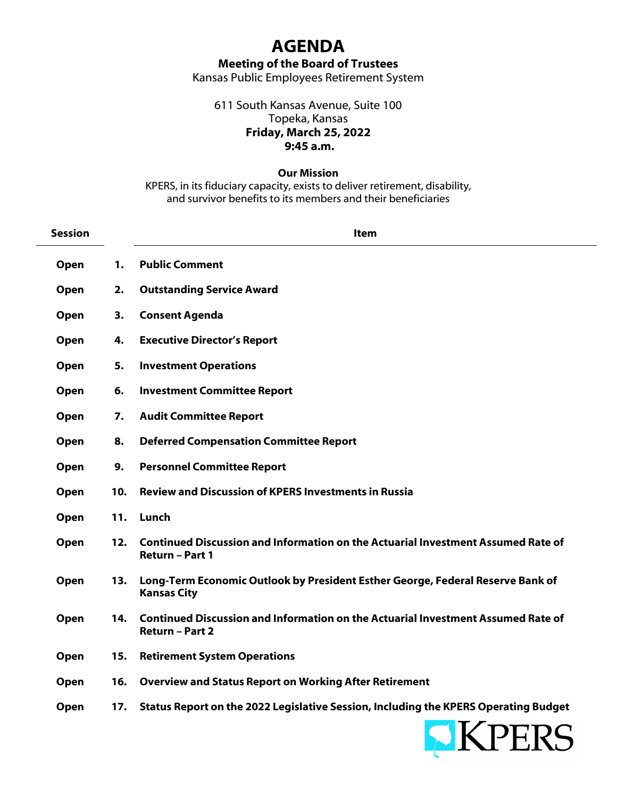## **AGENDA**

**Meeting of the Board of Trustees**

Kansas Public Employees Retirement System

## 611 South Kansas Avenue, Suite 100 Topeka, Kansas **Friday, March 25, 2022 9:45 a.m.**

## **Our Mission**

KPERS, in its fiduciary capacity, exists to deliver retirement, disability, and survivor benefits to its members and their beneficiaries

| <b>Session</b> |     | <b>Item</b>                                                                                                |  |  |  |
|----------------|-----|------------------------------------------------------------------------------------------------------------|--|--|--|
| Open           | 1.  | <b>Public Comment</b>                                                                                      |  |  |  |
| Open           | 2.  | <b>Outstanding Service Award</b>                                                                           |  |  |  |
| Open           | 3.  | <b>Consent Agenda</b>                                                                                      |  |  |  |
| Open           | 4.  | <b>Executive Director's Report</b>                                                                         |  |  |  |
| Open           | 5.  | <b>Investment Operations</b>                                                                               |  |  |  |
| Open           | 6.  | <b>Investment Committee Report</b>                                                                         |  |  |  |
| Open           | 7.  | <b>Audit Committee Report</b>                                                                              |  |  |  |
| Open           | 8.  | <b>Deferred Compensation Committee Report</b>                                                              |  |  |  |
| Open           | 9.  | <b>Personnel Committee Report</b>                                                                          |  |  |  |
| Open           | 10. | <b>Review and Discussion of KPERS Investments in Russia</b>                                                |  |  |  |
| Open           | 11. | Lunch                                                                                                      |  |  |  |
| Open           | 12. | Continued Discussion and Information on the Actuarial Investment Assumed Rate of<br><b>Return - Part 1</b> |  |  |  |
| Open           | 13. | Long-Term Economic Outlook by President Esther George, Federal Reserve Bank of<br><b>Kansas City</b>       |  |  |  |
| Open           | 14. | Continued Discussion and Information on the Actuarial Investment Assumed Rate of<br><b>Return - Part 2</b> |  |  |  |
| Open           | 15. | <b>Retirement System Operations</b>                                                                        |  |  |  |
| Open           | 16. | <b>Overview and Status Report on Working After Retirement</b>                                              |  |  |  |
| Open           | 17. | Status Report on the 2022 Legislative Session, Including the KPERS Operating Budget                        |  |  |  |